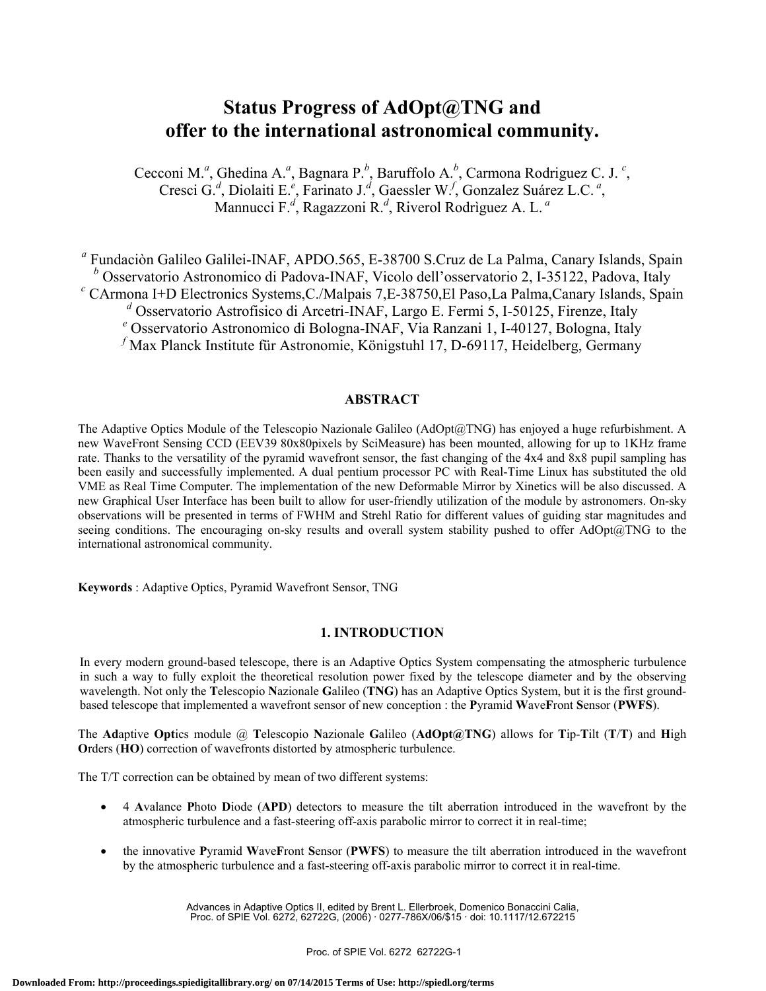# **Status Progress of AdOpt@TNG and offer to the international astronomical community.**

Cecconi M.<sup>*a*</sup>, Ghedina A.<sup>*a*</sup>, Bagnara P.<sup>*b*</sup>, Baruffolo A.<sup>*b*</sup>, Carmona Rodriguez C. J.<sup>*c*</sup>, Cresci G.*<sup>d</sup>* , Diolaiti E.*<sup>e</sup>* , Farinato J.*<sup>d</sup>* , Gaessler W.*<sup>f</sup>* , Gonzalez Suárez L.C.*<sup>a</sup>*, Mannucci F.*<sup>d</sup>* , Ragazzoni R.*<sup>d</sup>* , Riverol Rodrìguez A. L.*<sup>a</sup>*

*a* Fundaciòn Galileo Galilei-INAF, APDO.565, E-38700 S.Cruz de La Palma, Canary Islands, Spain <sup>*b*</sup> Osservatorio Astronomico di Padova-INAF, Vicolo dell'osservatorio 2, I-35122, Padova, Italy *c*<br> *c* CArmona I+D Electronica Systems C (Malpais 7 E 39750 El Paso La Palma Capary Islanda, Spai  $c$  CArmona I+D Electronics Systems, C./Malpais 7, E-38750, El Paso, La Palma, Canary Islands, Spain *d* Osservatorio Astrofisico di Arcetri-INAF, Largo E. Fermi 5, I-50125, Firenze, Italy *<sup>e</sup>*  $e^{i}$  Osservatorio Astronomico di Bologna-INAF, Via Ranzani 1, I-40127, Bologna, Italy *f* Max Planck Institute für Astronomie, Königstuhl 17, D-69117, Heidelberg, Germany

## **ABSTRACT**

The Adaptive Optics Module of the Telescopio Nazionale Galileo (AdOpt@TNG) has enjoyed a huge refurbishment. A new WaveFront Sensing CCD (EEV39 80x80pixels by SciMeasure) has been mounted, allowing for up to 1KHz frame rate. Thanks to the versatility of the pyramid wavefront sensor, the fast changing of the 4x4 and 8x8 pupil sampling has been easily and successfully implemented. A dual pentium processor PC with Real-Time Linux has substituted the old VME as Real Time Computer. The implementation of the new Deformable Mirror by Xinetics will be also discussed. A new Graphical User Interface has been built to allow for user-friendly utilization of the module by astronomers. On-sky observations will be presented in terms of FWHM and Strehl Ratio for different values of guiding star magnitudes and seeing conditions. The encouraging on-sky results and overall system stability pushed to offer AdOpt@TNG to the international astronomical community.

**Keywords** : Adaptive Optics, Pyramid Wavefront Sensor, TNG

# **1. INTRODUCTION**

In every modern ground-based telescope, there is an Adaptive Optics System compensating the atmospheric turbulence in such a way to fully exploit the theoretical resolution power fixed by the telescope diameter and by the observing wavelength. Not only the **T**elescopio **N**azionale **G**alileo (**TNG**) has an Adaptive Optics System, but it is the first groundbased telescope that implemented a wavefront sensor of new conception : the **P**yramid **W**ave**F**ront **S**ensor (**PWFS**).

The **Ad**aptive **Opt**ics module @ **T**elescopio **N**azionale **G**alileo (**AdOpt@TNG**) allows for **T**ip-**T**ilt (**T**/**T**) and **H**igh **O**rders (**HO**) correction of wavefronts distorted by atmospheric turbulence.

The T/T correction can be obtained by mean of two different systems:

- 4 **A**valance **P**hoto **D**iode (**APD**) detectors to measure the tilt aberration introduced in the wavefront by the atmospheric turbulence and a fast-steering off-axis parabolic mirror to correct it in real-time;
- the innovative **P**yramid **W**ave**F**ront **S**ensor (**PWFS**) to measure the tilt aberration introduced in the wavefront by the atmospheric turbulence and a fast-steering off-axis parabolic mirror to correct it in real-time.

Advances in Adaptive Optics II, edited by Brent L. Ellerbroek, Domenico Bonaccini Calia, Proc. of SPIE Vol. 6272, 62722G, (2006) · 0277-786X/06/\$15 · doi: 10.1117/12.672215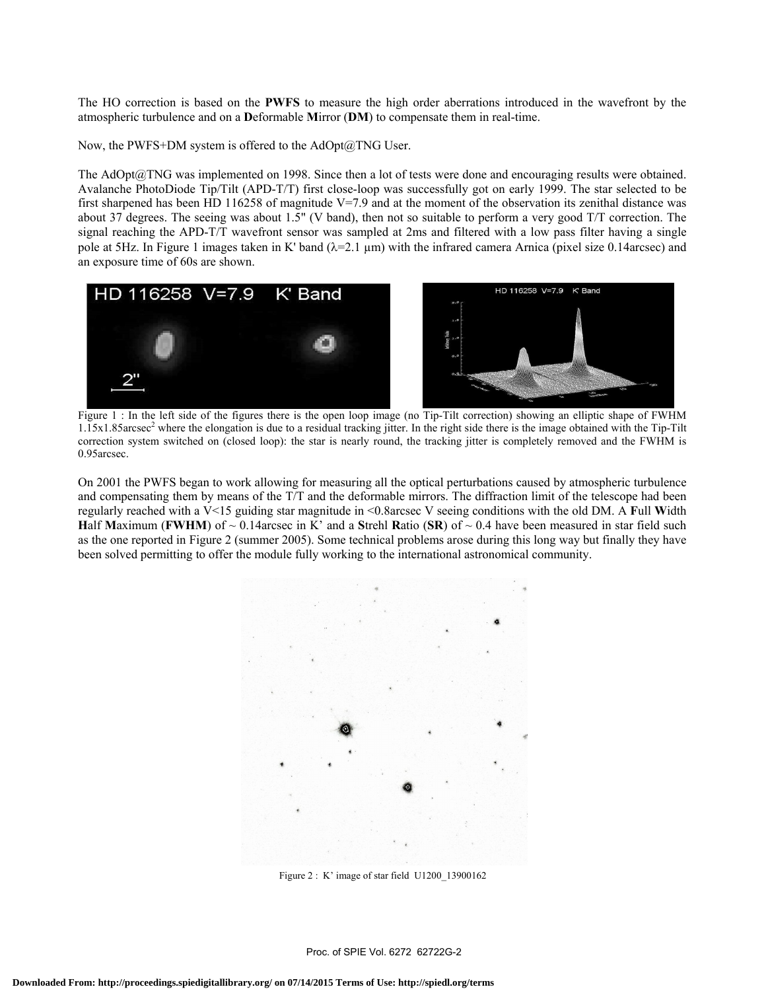The HO correction is based on the **PWFS** to measure the high order aberrations introduced in the wavefront by the atmospheric turbulence and on a **D**eformable **M**irror (**DM**) to compensate them in real-time.

Now, the PWFS+DM system is offered to the AdOpt@TNG User.

The AdOpt@TNG was implemented on 1998. Since then a lot of tests were done and encouraging results were obtained. Avalanche PhotoDiode Tip/Tilt (APD-T/T) first close-loop was successfully got on early 1999. The star selected to be first sharpened has been HD 116258 of magnitude  $V=7.9$  and at the moment of the observation its zenithal distance was about 37 degrees. The seeing was about 1.5" (V band), then not so suitable to perform a very good T/T correction. The signal reaching the APD-T/T wavefront sensor was sampled at 2ms and filtered with a low pass filter having a single pole at 5Hz. In Figure 1 images taken in K' band  $(\lambda=2.1 \text{ µm})$  with the infrared camera Arnica (pixel size 0.14arcsec) and an exposure time of 60s are shown.



Figure 1 : In the left side of the figures there is the open loop image (no Tip-Tilt correction) showing an elliptic shape of FWHM 1.15x1.85arcsec<sup>2</sup> where the elongation is due to a residual tracking jitter. In the right side there is the image obtained with the Tip-Tilt correction system switched on (closed loop): the star is nearly round, the tracking jitter is completely removed and the FWHM is 0.95arcsec.

On 2001 the PWFS began to work allowing for measuring all the optical perturbations caused by atmospheric turbulence and compensating them by means of the T/T and the deformable mirrors. The diffraction limit of the telescope had been regularly reached with a V<15 guiding star magnitude in <0.8arcsec V seeing conditions with the old DM. A **F**ull **W**idth **Half Maximum (FWHM)** of  $\sim 0.14$ arcsec in K' and a Strehl Ratio (SR) of  $\sim 0.4$  have been measured in star field such as the one reported in Figure 2 (summer 2005). Some technical problems arose during this long way but finally they have been solved permitting to offer the module fully working to the international astronomical community.



Figure 2: K' image of star field U1200 13900162

Proc. of SPIE Vol. 6272 62722G-2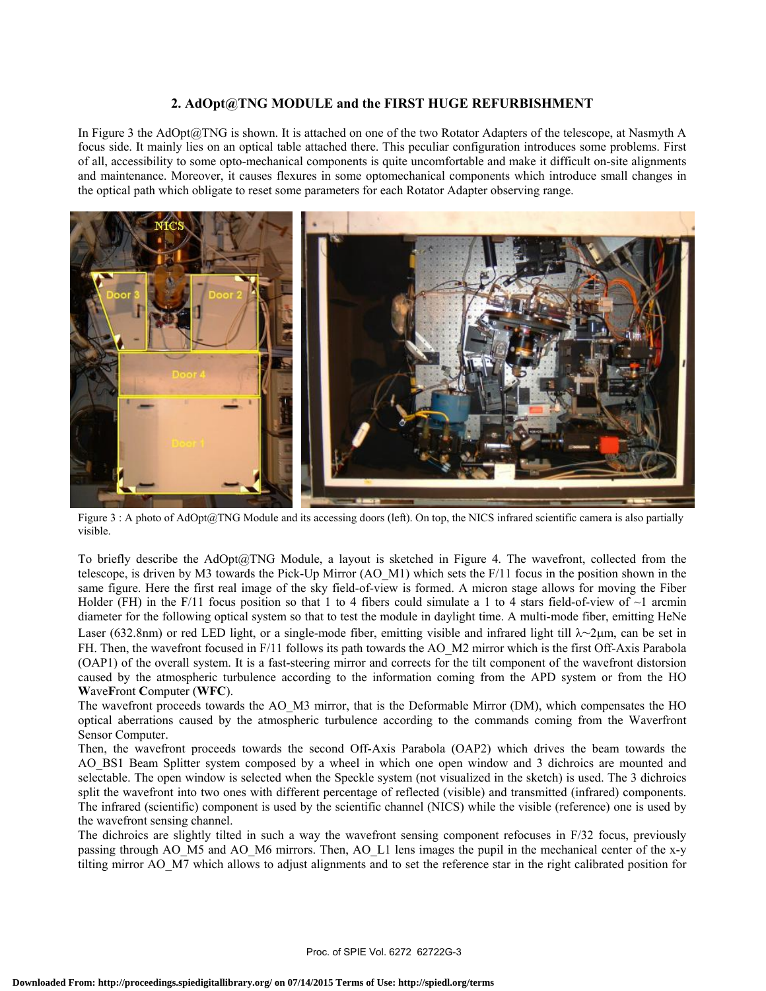## **2. AdOpt@TNG MODULE and the FIRST HUGE REFURBISHMENT**

In Figure 3 the AdOpt@TNG is shown. It is attached on one of the two Rotator Adapters of the telescope, at Nasmyth A focus side. It mainly lies on an optical table attached there. This peculiar configuration introduces some problems. First of all, accessibility to some opto-mechanical components is quite uncomfortable and make it difficult on-site alignments and maintenance. Moreover, it causes flexures in some optomechanical components which introduce small changes in the optical path which obligate to reset some parameters for each Rotator Adapter observing range.



Figure 3 : A photo of AdOpt $\alpha$ TNG Module and its accessing doors (left). On top, the NICS infrared scientific camera is also partially visible.

To briefly describe the AdOpt@TNG Module, a layout is sketched in Figure 4. The wavefront, collected from the telescope, is driven by M3 towards the Pick-Up Mirror (AO\_M1) which sets the F/11 focus in the position shown in the same figure. Here the first real image of the sky field-of-view is formed. A micron stage allows for moving the Fiber Holder (FH) in the F/11 focus position so that 1 to 4 fibers could simulate a 1 to 4 stars field-of-view of  $\sim$ 1 arcmin diameter for the following optical system so that to test the module in daylight time. A multi-mode fiber, emitting HeNe Laser (632.8nm) or red LED light, or a single-mode fiber, emitting visible and infrared light till  $\lambda \sim 2\mu m$ , can be set in FH. Then, the wavefront focused in F/11 follows its path towards the AO\_M2 mirror which is the first Off-Axis Parabola (OAP1) of the overall system. It is a fast-steering mirror and corrects for the tilt component of the wavefront distorsion caused by the atmospheric turbulence according to the information coming from the APD system or from the HO **W**ave**F**ront **C**omputer (**WFC**).

The wavefront proceeds towards the AO\_M3 mirror, that is the Deformable Mirror (DM), which compensates the HO optical aberrations caused by the atmospheric turbulence according to the commands coming from the Waverfront Sensor Computer.

Then, the wavefront proceeds towards the second Off-Axis Parabola (OAP2) which drives the beam towards the AO\_BS1 Beam Splitter system composed by a wheel in which one open window and 3 dichroics are mounted and selectable. The open window is selected when the Speckle system (not visualized in the sketch) is used. The 3 dichroics split the wavefront into two ones with different percentage of reflected (visible) and transmitted (infrared) components. The infrared (scientific) component is used by the scientific channel (NICS) while the visible (reference) one is used by the wavefront sensing channel.

The dichroics are slightly tilted in such a way the wavefront sensing component refocuses in F/32 focus, previously passing through AO\_M5 and AO\_M6 mirrors. Then, AO\_L1 lens images the pupil in the mechanical center of the x-y tilting mirror AO\_M7 which allows to adjust alignments and to set the reference star in the right calibrated position for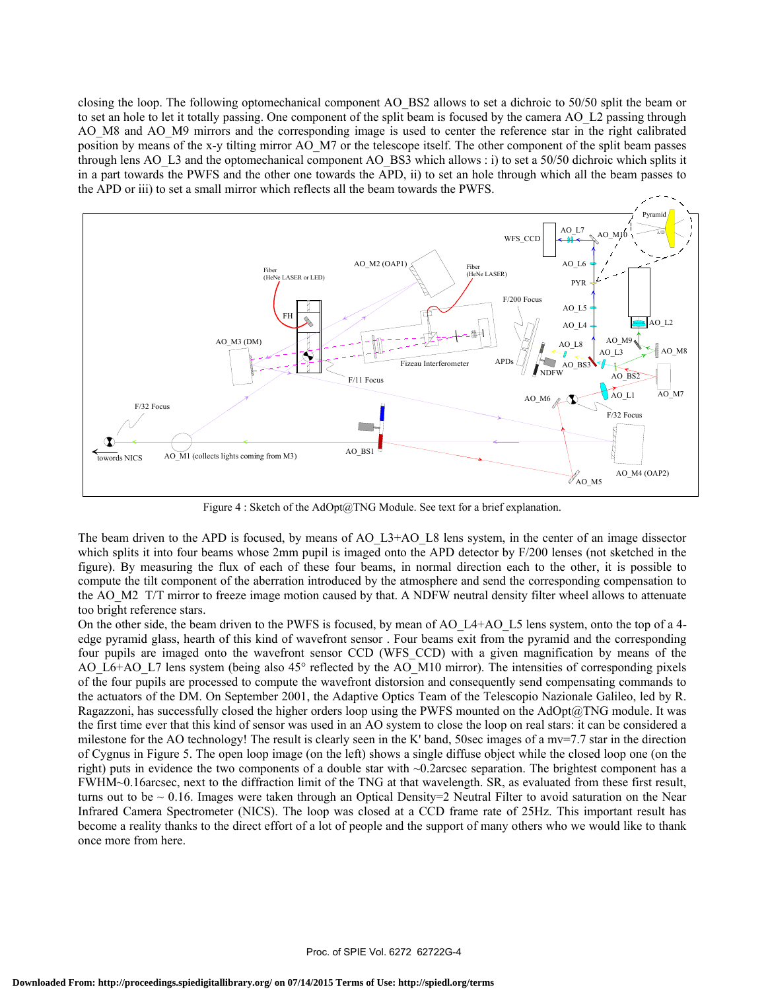closing the loop. The following optomechanical component AO\_BS2 allows to set a dichroic to 50/50 split the beam or to set an hole to let it totally passing. One component of the split beam is focused by the camera AO\_L2 passing through AO\_M8 and AO\_M9 mirrors and the corresponding image is used to center the reference star in the right calibrated position by means of the x-y tilting mirror AO\_M7 or the telescope itself. The other component of the split beam passes through lens AO\_L3 and the optomechanical component AO\_BS3 which allows : i) to set a 50/50 dichroic which splits it in a part towards the PWFS and the other one towards the APD, ii) to set an hole through which all the beam passes to the APD or iii) to set a small mirror which reflects all the beam towards the PWFS.



Figure 4 : Sketch of the AdOpt@TNG Module. See text for a brief explanation.

The beam driven to the APD is focused, by means of AO\_L3+AO\_L8 lens system, in the center of an image dissector which splits it into four beams whose 2mm pupil is imaged onto the APD detector by F/200 lenses (not sketched in the figure). By measuring the flux of each of these four beams, in normal direction each to the other, it is possible to compute the tilt component of the aberration introduced by the atmosphere and send the corresponding compensation to the AO\_M2 T/T mirror to freeze image motion caused by that. A NDFW neutral density filter wheel allows to attenuate too bright reference stars.

On the other side, the beam driven to the PWFS is focused, by mean of AO\_L4+AO\_L5 lens system, onto the top of a 4 edge pyramid glass, hearth of this kind of wavefront sensor . Four beams exit from the pyramid and the corresponding four pupils are imaged onto the wavefront sensor CCD (WFS\_CCD) with a given magnification by means of the AO\_L6+AO\_L7 lens system (being also 45° reflected by the AO\_M10 mirror). The intensities of corresponding pixels of the four pupils are processed to compute the wavefront distorsion and consequently send compensating commands to the actuators of the DM. On September 2001, the Adaptive Optics Team of the Telescopio Nazionale Galileo, led by R. Ragazzoni, has successfully closed the higher orders loop using the PWFS mounted on the AdOpt $@TNG$  module. It was the first time ever that this kind of sensor was used in an AO system to close the loop on real stars: it can be considered a milestone for the AO technology! The result is clearly seen in the K' band, 50sec images of a mv=7.7 star in the direction of Cygnus in Figure 5. The open loop image (on the left) shows a single diffuse object while the closed loop one (on the right) puts in evidence the two components of a double star with ~0.2arcsec separation. The brightest component has a FWHM~0.16arcsec, next to the diffraction limit of the TNG at that wavelength. SR, as evaluated from these first result, turns out to be  $\sim 0.16$ . Images were taken through an Optical Density=2 Neutral Filter to avoid saturation on the Near Infrared Camera Spectrometer (NICS). The loop was closed at a CCD frame rate of 25Hz. This important result has become a reality thanks to the direct effort of a lot of people and the support of many others who we would like to thank once more from here.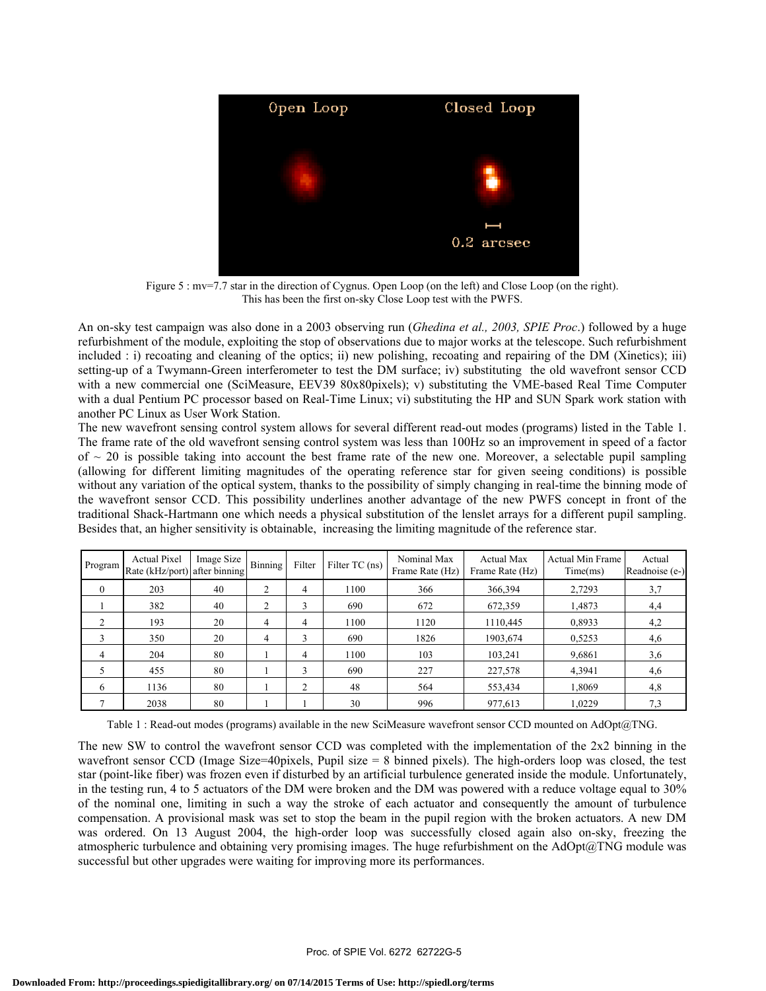

Figure 5 : mv=7.7 star in the direction of Cygnus. Open Loop (on the left) and Close Loop (on the right). This has been the first on-sky Close Loop test with the PWFS.

An on-sky test campaign was also done in a 2003 observing run (*Ghedina et al., 2003, SPIE Proc*.) followed by a huge refurbishment of the module, exploiting the stop of observations due to major works at the telescope. Such refurbishment included : i) recoating and cleaning of the optics; ii) new polishing, recoating and repairing of the DM (Xinetics); iii) setting-up of a Twymann-Green interferometer to test the DM surface; iv) substituting the old wavefront sensor CCD with a new commercial one (SciMeasure, EEV39 80x80pixels); v) substituting the VME-based Real Time Computer with a dual Pentium PC processor based on Real-Time Linux; vi) substituting the HP and SUN Spark work station with another PC Linux as User Work Station.

The new wavefront sensing control system allows for several different read-out modes (programs) listed in the Table 1. The frame rate of the old wavefront sensing control system was less than 100Hz so an improvement in speed of a factor of  $\sim$  20 is possible taking into account the best frame rate of the new one. Moreover, a selectable pupil sampling (allowing for different limiting magnitudes of the operating reference star for given seeing conditions) is possible without any variation of the optical system, thanks to the possibility of simply changing in real-time the binning mode of the wavefront sensor CCD. This possibility underlines another advantage of the new PWFS concept in front of the traditional Shack-Hartmann one which needs a physical substitution of the lenslet arrays for a different pupil sampling. Besides that, an higher sensitivity is obtainable, increasing the limiting magnitude of the reference star.

| Program       | <b>Actual Pixel</b><br>Rate (kHz/port) after binning | Image Size | Binning | Filter | Filter TC (ns) | Nominal Max<br>Frame Rate (Hz) | <b>Actual Max</b><br>Frame Rate (Hz) | <b>Actual Min Frame</b><br>Time(ms) | Actual<br>Readnoise (e-) |
|---------------|------------------------------------------------------|------------|---------|--------|----------------|--------------------------------|--------------------------------------|-------------------------------------|--------------------------|
| $\mathbf{0}$  | 203                                                  | 40         | ↑       | 4      | 1100           | 366                            | 366,394                              | 2,7293                              | 3,7                      |
|               | 382                                                  | 40         | ↑       | 3      | 690            | 672                            | 672,359                              | 1,4873                              | 4,4                      |
| $\mathcal{L}$ | 193                                                  | 20         | 4       | 4      | 1100           | 1120                           | 1110,445                             | 0,8933                              | 4,2                      |
|               | 350                                                  | 20         | 4       | 3      | 690            | 1826                           | 1903,674                             | 0,5253                              | 4,6                      |
| 4             | 204                                                  | 80         |         | 4      | 1100           | 103                            | 103,241                              | 9,6861                              | 3,6                      |
|               | 455                                                  | 80         |         | 3      | 690            | 227                            | 227,578                              | 4,3941                              | 4,6                      |
| 6             | 1136                                                 | 80         |         | 2      | 48             | 564                            | 553,434                              | 1,8069                              | 4,8                      |
|               | 2038                                                 | 80         |         |        | 30             | 996                            | 977,613                              | 1,0229                              | 7,3                      |

Table 1 : Read-out modes (programs) available in the new SciMeasure wavefront sensor CCD mounted on AdOpt@TNG.

The new SW to control the wavefront sensor CCD was completed with the implementation of the 2x2 binning in the wavefront sensor CCD (Image Size=40pixels, Pupil size = 8 binned pixels). The high-orders loop was closed, the test star (point-like fiber) was frozen even if disturbed by an artificial turbulence generated inside the module. Unfortunately, in the testing run, 4 to 5 actuators of the DM were broken and the DM was powered with a reduce voltage equal to 30% of the nominal one, limiting in such a way the stroke of each actuator and consequently the amount of turbulence compensation. A provisional mask was set to stop the beam in the pupil region with the broken actuators. A new DM was ordered. On 13 August 2004, the high-order loop was successfully closed again also on-sky, freezing the atmospheric turbulence and obtaining very promising images. The huge refurbishment on the AdOpt@TNG module was successful but other upgrades were waiting for improving more its performances.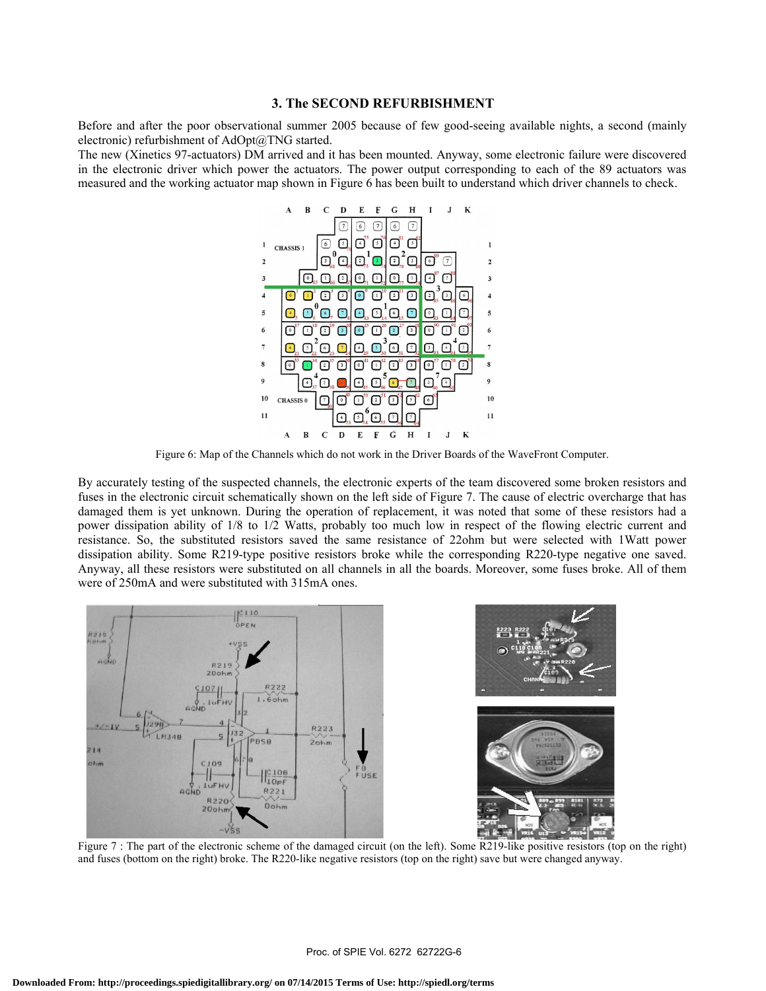## **3. The SECOND REFURBISHMENT**

Before and after the poor observational summer 2005 because of few good-seeing available nights, a second (mainly electronic) refurbishment of AdOpt@TNG started.

The new (Xinetics 97-actuators) DM arrived and it has been mounted. Anyway, some electronic failure were discovered in the electronic driver which power the actuators. The power output corresponding to each of the 89 actuators was measured and the working actuator map shown in Figure 6 has been built to understand which driver channels to check.



Figure 6: Map of the Channels which do not work in the Driver Boards of the WaveFront Computer.

By accurately testing of the suspected channels, the electronic experts of the team discovered some broken resistors and fuses in the electronic circuit schematically shown on the left side of Figure 7. The cause of electric overcharge that has damaged them is yet unknown. During the operation of replacement, it was noted that some of these resistors had a power dissipation ability of 1/8 to 1/2 Watts, probably too much low in respect of the flowing electric current and resistance. So, the substituted resistors saved the same resistance of 22ohm but were selected with 1Watt power dissipation ability. Some R219-type positive resistors broke while the corresponding R220-type negative one saved. Anyway, all these resistors were substituted on all channels in all the boards. Moreover, some fuses broke. All of them were of 250mA and were substituted with 315mA ones.



and fuses (bottom on the right) broke. The R220-like negative resistors (top on the right) save but were changed anyway.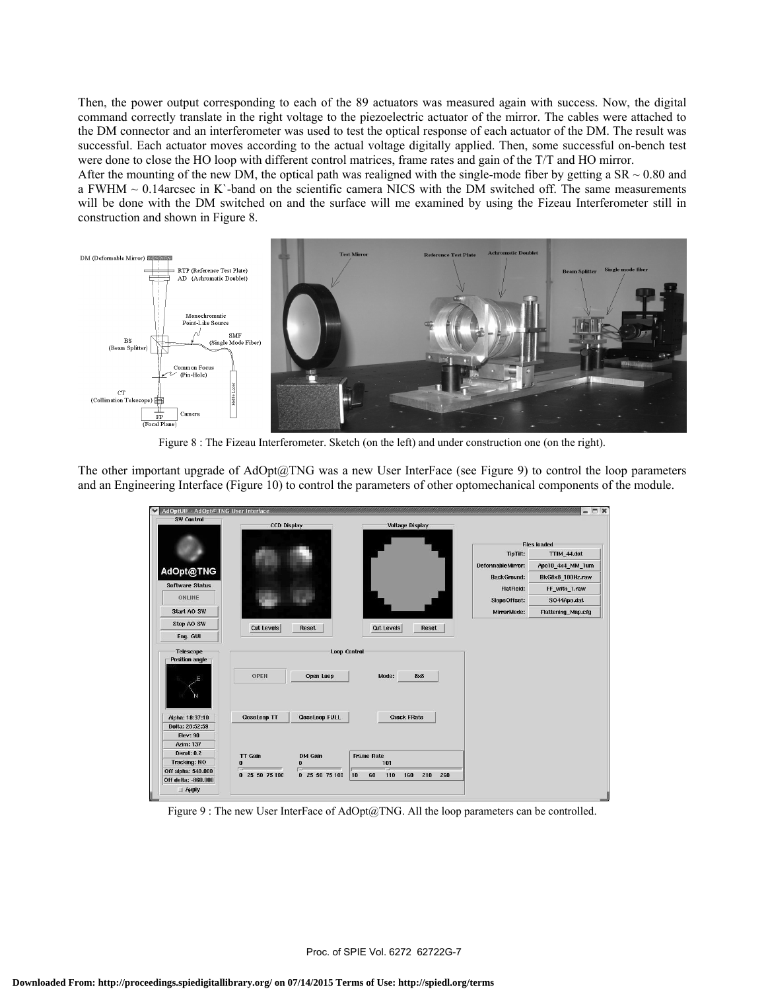Then, the power output corresponding to each of the 89 actuators was measured again with success. Now, the digital command correctly translate in the right voltage to the piezoelectric actuator of the mirror. The cables were attached to the DM connector and an interferometer was used to test the optical response of each actuator of the DM. The result was successful. Each actuator moves according to the actual voltage digitally applied. Then, some successful on-bench test were done to close the HO loop with different control matrices, frame rates and gain of the T/T and HO mirror.

After the mounting of the new DM, the optical path was realigned with the single-mode fiber by getting a  $SR \sim 0.80$  and a FWHM  $\sim 0.14$ arcsec in K`-band on the scientific camera NICS with the DM switched off. The same measurements will be done with the DM switched on and the surface will me examined by using the Fizeau Interferometer still in construction and shown in Figure 8.



Figure 8 : The Fizeau Interferometer. Sketch (on the left) and under construction one (on the right).

ortant upgrade of AdOpt( $a$ ) ING was a new User InterFace (see Figure 9) to control the loop parameters<br>ering Interface (Figure 10) to control the parameters of other optomechanical components of the module.<br>A  $\frac{1}{2}$ The other important upgrade of AdOpt@TNG was a new User InterFace (see Figure 9) to control the loop parameters and an Engineering Interface (Figure 10) to control the parameters of other optomechanical components of the module.

| SW Control                                                                      | <b>CCD Display</b> |                                | <b>Voltage Display</b>               |                    |                     |
|---------------------------------------------------------------------------------|--------------------|--------------------------------|--------------------------------------|--------------------|---------------------|
|                                                                                 |                    |                                |                                      |                    | <b>Files loaded</b> |
|                                                                                 |                    |                                |                                      | TipTilt:           | TTIM 44.dat         |
|                                                                                 |                    |                                |                                      | DeformableMirror:  | Apo10 4x4 MM 1um    |
| AdOpt@TNG                                                                       |                    |                                |                                      | <b>BackGround:</b> | BkG8x8 100Hz.raw    |
| <b>Software Status</b>                                                          |                    |                                |                                      | <b>FlatField:</b>  | FF with 1.raw       |
| ONLINE                                                                          |                    |                                |                                      | SlopeOffset:       | SO44Apo.dat         |
| Start AO SW                                                                     |                    |                                |                                      | MirrorMode:        | Flattening_Map.cfg  |
| Stop AO SW                                                                      | <b>Cut Levels</b>  | Reset                          | <b>Cut Levels</b>                    |                    |                     |
| Eng. GUI                                                                        |                    |                                | Reset                                |                    |                     |
|                                                                                 |                    |                                |                                      |                    |                     |
|                                                                                 |                    |                                |                                      |                    |                     |
| <b>Telescope</b>                                                                |                    |                                | Loop Control                         |                    |                     |
| <b>Position angle</b>                                                           |                    |                                |                                      |                    |                     |
|                                                                                 |                    |                                |                                      |                    |                     |
|                                                                                 | OPEN               | Open Loop                      | 8x8<br>Mode:                         |                    |                     |
|                                                                                 |                    |                                |                                      |                    |                     |
|                                                                                 |                    |                                |                                      |                    |                     |
|                                                                                 |                    |                                |                                      |                    |                     |
|                                                                                 |                    |                                |                                      |                    |                     |
|                                                                                 | CloseLoop TT       | <b>CloseLoop FULL</b>          | <b>Check FRate</b>                   |                    |                     |
|                                                                                 |                    |                                |                                      |                    |                     |
| <b>Elev: 90</b>                                                                 |                    |                                |                                      |                    |                     |
| Azim: 137                                                                       |                    |                                |                                      |                    |                     |
| Derot: 0.2                                                                      |                    |                                |                                      |                    |                     |
|                                                                                 | TT Gain            | <b>DM Gain</b><br>$\mathbf{n}$ | <b>Frame Rate</b>                    |                    |                     |
| <b>Tracking: NO</b>                                                             | $\bf{0}$<br>≔      | <b>Fax</b>                     | 101<br>ᅲ                             |                    |                     |
| Alpha: 18:37:10<br>Delta: 28:52:59<br>Off alpha: 540.000<br>Off delta: -860.000 | 0 25 50 75 100     | 0 25 50 75 100                 | 10<br>60<br>110<br>160<br>210<br>260 |                    |                     |

Figure 9 : The new User InterFace of AdOpt@TNG. All the loop parameters can be controlled.